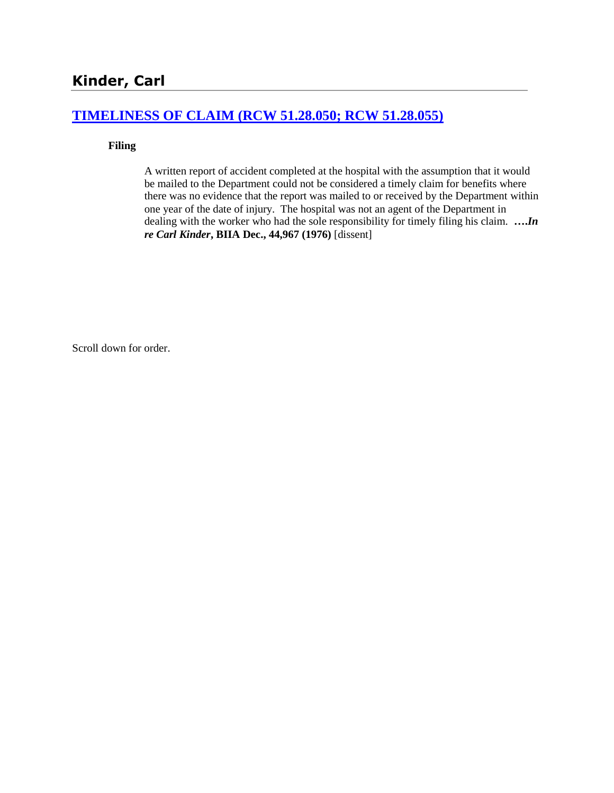#### **[TIMELINESS OF CLAIM \(RCW 51.28.050; RCW 51.28.055\)](http://www.biia.wa.gov/SDSubjectIndex.html#TIMELINESS_OF_CLAIM)**

#### **Filing**

A written report of accident completed at the hospital with the assumption that it would be mailed to the Department could not be considered a timely claim for benefits where there was no evidence that the report was mailed to or received by the Department within one year of the date of injury. The hospital was not an agent of the Department in dealing with the worker who had the sole responsibility for timely filing his claim. **….***In re Carl Kinder***, BIIA Dec., 44,967 (1976)** [dissent]

Scroll down for order.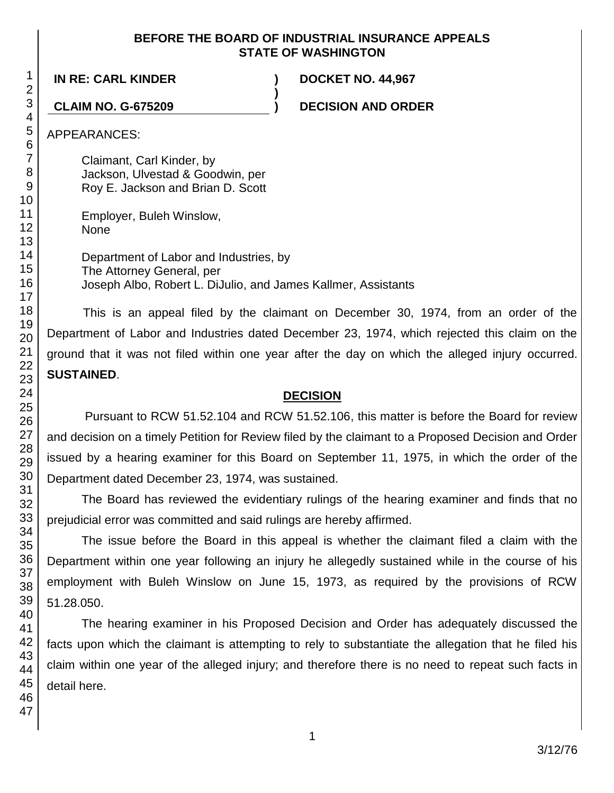#### **BEFORE THE BOARD OF INDUSTRIAL INSURANCE APPEALS STATE OF WASHINGTON**

**)**

**IN RE: CARL KINDER ) DOCKET NO. 44,967**

**CLAIM NO. G-675209 ) DECISION AND ORDER**

APPEARANCES:

Claimant, Carl Kinder, by Jackson, Ulvestad & Goodwin, per Roy E. Jackson and Brian D. Scott

Employer, Buleh Winslow, None

Department of Labor and Industries, by The Attorney General, per Joseph Albo, Robert L. DiJulio, and James Kallmer, Assistants

This is an appeal filed by the claimant on December 30, 1974, from an order of the Department of Labor and Industries dated December 23, 1974, which rejected this claim on the ground that it was not filed within one year after the day on which the alleged injury occurred. **SUSTAINED**.

### **DECISION**

Pursuant to RCW 51.52.104 and RCW 51.52.106, this matter is before the Board for review and decision on a timely Petition for Review filed by the claimant to a Proposed Decision and Order issued by a hearing examiner for this Board on September 11, 1975, in which the order of the Department dated December 23, 1974, was sustained.

The Board has reviewed the evidentiary rulings of the hearing examiner and finds that no prejudicial error was committed and said rulings are hereby affirmed.

The issue before the Board in this appeal is whether the claimant filed a claim with the Department within one year following an injury he allegedly sustained while in the course of his employment with Buleh Winslow on June 15, 1973, as required by the provisions of RCW 51.28.050.

The hearing examiner in his Proposed Decision and Order has adequately discussed the facts upon which the claimant is attempting to rely to substantiate the allegation that he filed his claim within one year of the alleged injury; and therefore there is no need to repeat such facts in detail here.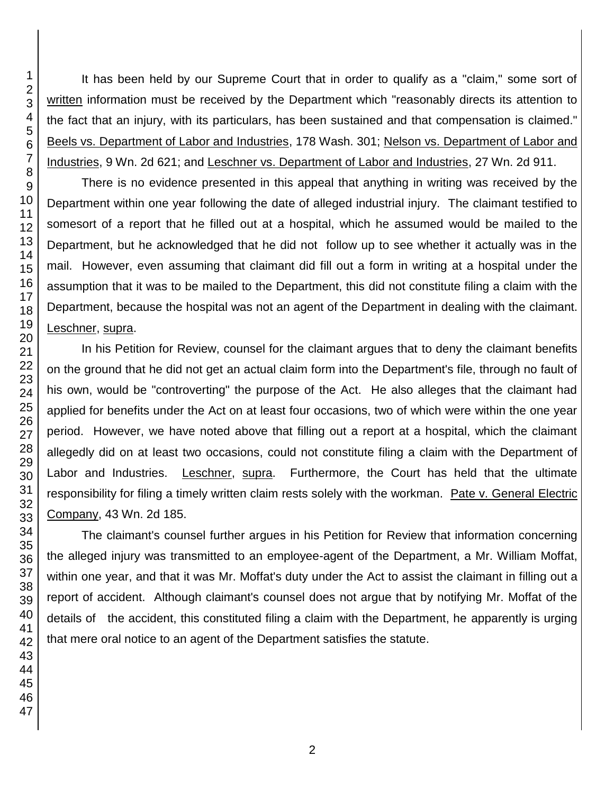It has been held by our Supreme Court that in order to qualify as a "claim," some sort of written information must be received by the Department which "reasonably directs its attention to the fact that an injury, with its particulars, has been sustained and that compensation is claimed." Beels vs. Department of Labor and Industries, 178 Wash. 301; Nelson vs. Department of Labor and Industries, 9 Wn. 2d 621; and Leschner vs. Department of Labor and Industries, 27 Wn. 2d 911.

There is no evidence presented in this appeal that anything in writing was received by the Department within one year following the date of alleged industrial injury. The claimant testified to somesort of a report that he filled out at a hospital, which he assumed would be mailed to the Department, but he acknowledged that he did not follow up to see whether it actually was in the mail. However, even assuming that claimant did fill out a form in writing at a hospital under the assumption that it was to be mailed to the Department, this did not constitute filing a claim with the Department, because the hospital was not an agent of the Department in dealing with the claimant. Leschner, supra.

In his Petition for Review, counsel for the claimant argues that to deny the claimant benefits on the ground that he did not get an actual claim form into the Department's file, through no fault of his own, would be "controverting" the purpose of the Act. He also alleges that the claimant had applied for benefits under the Act on at least four occasions, two of which were within the one year period. However, we have noted above that filling out a report at a hospital, which the claimant allegedly did on at least two occasions, could not constitute filing a claim with the Department of Labor and Industries. Leschner, supra. Furthermore, the Court has held that the ultimate responsibility for filing a timely written claim rests solely with the workman. Pate v. General Electric Company, 43 Wn. 2d 185.

The claimant's counsel further argues in his Petition for Review that information concerning the alleged injury was transmitted to an employee-agent of the Department, a Mr. William Moffat, within one year, and that it was Mr. Moffat's duty under the Act to assist the claimant in filling out a report of accident. Although claimant's counsel does not argue that by notifying Mr. Moffat of the details of the accident, this constituted filing a claim with the Department, he apparently is urging that mere oral notice to an agent of the Department satisfies the statute.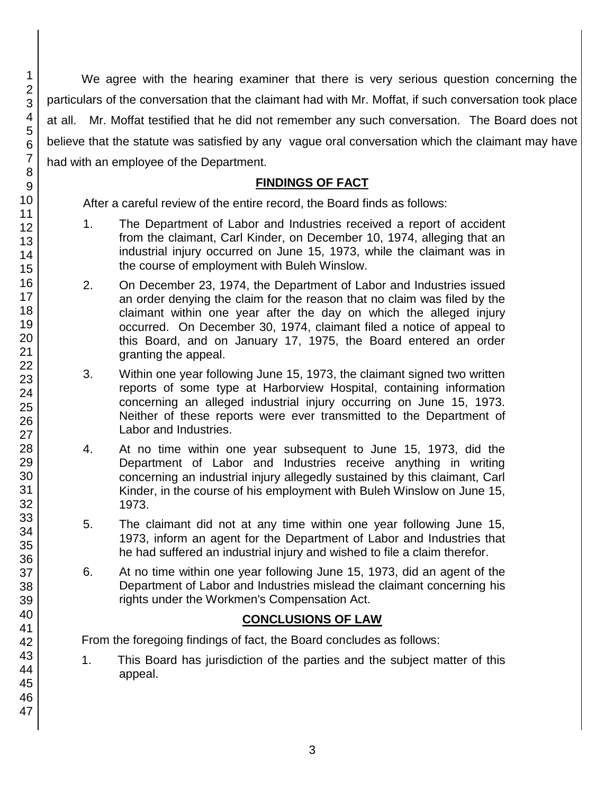We agree with the hearing examiner that there is very serious question concerning the particulars of the conversation that the claimant had with Mr. Moffat, if such conversation took place at all. Mr. Moffat testified that he did not remember any such conversation. The Board does not believe that the statute was satisfied by any vague oral conversation which the claimant may have had with an employee of the Department.

#### **FINDINGS OF FACT**

After a careful review of the entire record, the Board finds as follows:

- 1. The Department of Labor and Industries received a report of accident from the claimant, Carl Kinder, on December 10, 1974, alleging that an industrial injury occurred on June 15, 1973, while the claimant was in the course of employment with Buleh Winslow.
- 2. On December 23, 1974, the Department of Labor and Industries issued an order denying the claim for the reason that no claim was filed by the claimant within one year after the day on which the alleged injury occurred. On December 30, 1974, claimant filed a notice of appeal to this Board, and on January 17, 1975, the Board entered an order granting the appeal.
- 3. Within one year following June 15, 1973, the claimant signed two written reports of some type at Harborview Hospital, containing information concerning an alleged industrial injury occurring on June 15, 1973. Neither of these reports were ever transmitted to the Department of Labor and Industries.
- 4. At no time within one year subsequent to June 15, 1973, did the Department of Labor and Industries receive anything in writing concerning an industrial injury allegedly sustained by this claimant, Carl Kinder, in the course of his employment with Buleh Winslow on June 15, 1973.
- 5. The claimant did not at any time within one year following June 15, 1973, inform an agent for the Department of Labor and Industries that he had suffered an industrial injury and wished to file a claim therefor.
- 6. At no time within one year following June 15, 1973, did an agent of the Department of Labor and Industries mislead the claimant concerning his rights under the Workmen's Compensation Act.

#### **CONCLUSIONS OF LAW**

From the foregoing findings of fact, the Board concludes as follows:

1. This Board has jurisdiction of the parties and the subject matter of this appeal.